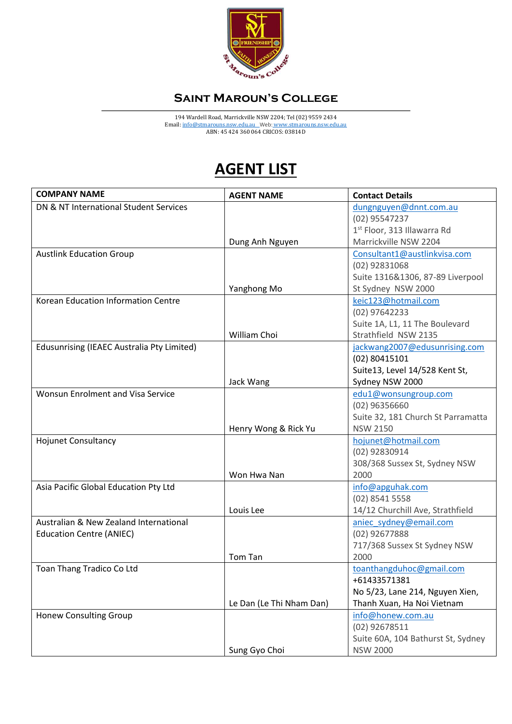

## **Saint Maroun's College**

194 Wardell Road, Marrickville NSW 2204; Tel (02) 9559 2434 Email[: info@stmarouns.nsw.edu.au](mailto:info@stmarouns.nsw.edu.au) \_Web: www.stmarouns.nsw.edu.au ABN: 45 424 360 064 CRICOS: 03814D

## **AGENT LIST**

| <b>COMPANY NAME</b>                        | <b>AGENT NAME</b>        | <b>Contact Details</b>             |
|--------------------------------------------|--------------------------|------------------------------------|
| DN & NT International Student Services     |                          | dungnguyen@dnnt.com.au             |
|                                            |                          | (02) 95547237                      |
|                                            |                          | 1st Floor, 313 Illawarra Rd        |
|                                            | Dung Anh Nguyen          | Marrickville NSW 2204              |
| <b>Austlink Education Group</b>            |                          | Consultant1@austlinkvisa.com       |
|                                            |                          | $(02)$ 92831068                    |
|                                            |                          | Suite 1316&1306, 87-89 Liverpool   |
|                                            | Yanghong Mo              | St Sydney NSW 2000                 |
| Korean Education Information Centre        |                          | keic123@hotmail.com                |
|                                            |                          | (02) 97642233                      |
|                                            |                          | Suite 1A, L1, 11 The Boulevard     |
|                                            | William Choi             | Strathfield NSW 2135               |
| Edusunrising (IEAEC Australia Pty Limited) |                          | jackwang2007@edusunrising.com      |
|                                            |                          | (02) 80415101                      |
|                                            |                          | Suite13, Level 14/528 Kent St,     |
|                                            | Jack Wang                | Sydney NSW 2000                    |
| Wonsun Enrolment and Visa Service          |                          | edu1@wonsungroup.com               |
|                                            |                          | (02) 96356660                      |
|                                            |                          | Suite 32, 181 Church St Parramatta |
|                                            | Henry Wong & Rick Yu     | <b>NSW 2150</b>                    |
| <b>Hojunet Consultancy</b>                 |                          | hojunet@hotmail.com                |
|                                            |                          | (02) 92830914                      |
|                                            |                          | 308/368 Sussex St, Sydney NSW      |
|                                            | Won Hwa Nan              | 2000                               |
| Asia Pacific Global Education Pty Ltd      |                          | info@apguhak.com                   |
|                                            |                          | (02) 8541 5558                     |
|                                            | Louis Lee                | 14/12 Churchill Ave, Strathfield   |
| Australian & New Zealand International     |                          | aniec sydney@email.com             |
| <b>Education Centre (ANIEC)</b>            |                          | (02) 92677888                      |
|                                            |                          | 717/368 Sussex St Sydney NSW       |
|                                            | Tom Tan                  | 2000                               |
| Toan Thang Tradico Co Ltd                  |                          | toanthangduhoc@gmail.com           |
|                                            |                          | +61433571381                       |
|                                            |                          | No 5/23, Lane 214, Nguyen Xien,    |
|                                            | Le Dan (Le Thi Nham Dan) | Thanh Xuan, Ha Noi Vietnam         |
| <b>Honew Consulting Group</b>              |                          | info@honew.com.au                  |
|                                            |                          | $(02)$ 92678511                    |
|                                            |                          | Suite 60A, 104 Bathurst St, Sydney |
|                                            | Sung Gyo Choi            | <b>NSW 2000</b>                    |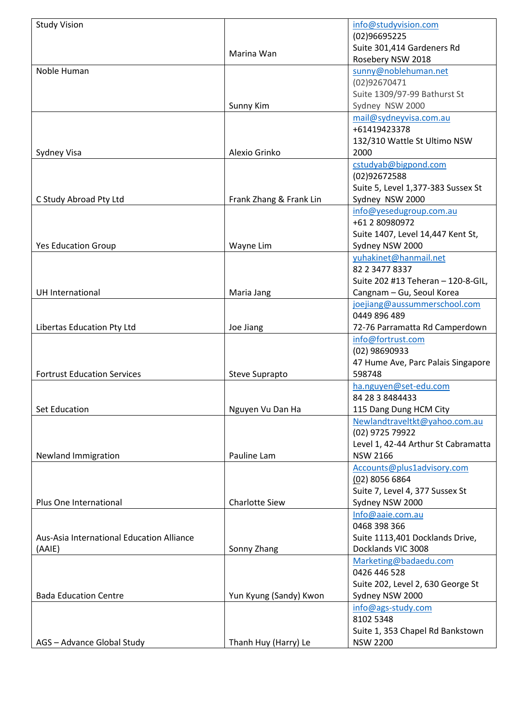| <b>Study Vision</b>                       |                         | info@studyvision.com                |
|-------------------------------------------|-------------------------|-------------------------------------|
|                                           |                         | (02)96695225                        |
|                                           |                         | Suite 301,414 Gardeners Rd          |
|                                           | Marina Wan              | Rosebery NSW 2018                   |
| Noble Human                               |                         | sunny@noblehuman.net                |
|                                           |                         | (02)92670471                        |
|                                           |                         | Suite 1309/97-99 Bathurst St        |
|                                           | Sunny Kim               | Sydney NSW 2000                     |
|                                           |                         | mail@sydneyvisa.com.au              |
|                                           |                         | +61419423378                        |
|                                           |                         | 132/310 Wattle St Ultimo NSW        |
| Sydney Visa                               | Alexio Grinko           | 2000                                |
|                                           |                         | cstudyab@bigpond.com                |
|                                           |                         | (02)92672588                        |
|                                           |                         | Suite 5, Level 1,377-383 Sussex St  |
| C Study Abroad Pty Ltd                    | Frank Zhang & Frank Lin | Sydney NSW 2000                     |
|                                           |                         | info@yesedugroup.com.au             |
|                                           |                         | +61 2 80980972                      |
|                                           |                         | Suite 1407, Level 14,447 Kent St,   |
| <b>Yes Education Group</b>                | Wayne Lim               | Sydney NSW 2000                     |
|                                           |                         | yuhakinet@hanmail.net               |
|                                           |                         | 82 2 3477 8337                      |
|                                           |                         | Suite 202 #13 Teheran - 120-8-GIL,  |
| UH International                          | Maria Jang              | Cangnam - Gu, Seoul Korea           |
|                                           |                         | joejiang@aussummerschool.com        |
|                                           |                         | 0449 896 489                        |
| Libertas Education Pty Ltd                | Joe Jiang               | 72-76 Parramatta Rd Camperdown      |
|                                           |                         | info@fortrust.com                   |
|                                           |                         | (02) 98690933                       |
|                                           |                         | 47 Hume Ave, Parc Palais Singapore  |
| <b>Fortrust Education Services</b>        |                         | 598748                              |
|                                           | Steve Suprapto          |                                     |
|                                           |                         | ha.nguyen@set-edu.com               |
| <b>Set Education</b>                      |                         | 84 28 3 8484433                     |
|                                           | Nguyen Vu Dan Ha        | 115 Dang Dung HCM City              |
|                                           |                         | Newlandtraveltkt@yahoo.com.au       |
|                                           |                         | (02) 9725 79922                     |
|                                           |                         | Level 1, 42-44 Arthur St Cabramatta |
| Newland Immigration                       | Pauline Lam             | <b>NSW 2166</b>                     |
|                                           |                         | Accounts@plus1advisory.com          |
|                                           |                         | (02) 8056 6864                      |
|                                           |                         | Suite 7, Level 4, 377 Sussex St     |
| Plus One International                    | <b>Charlotte Siew</b>   | Sydney NSW 2000                     |
|                                           |                         | Info@aaie.com.au                    |
|                                           |                         | 0468 398 366                        |
| Aus-Asia International Education Alliance |                         | Suite 1113,401 Docklands Drive,     |
| (AAIE)                                    | Sonny Zhang             | Docklands VIC 3008                  |
|                                           |                         | Marketing@badaedu.com               |
|                                           |                         | 0426 446 528                        |
|                                           |                         | Suite 202, Level 2, 630 George St   |
| <b>Bada Education Centre</b>              | Yun Kyung (Sandy) Kwon  | Sydney NSW 2000                     |
|                                           |                         | info@ags-study.com                  |
|                                           |                         | 8102 5348                           |
|                                           |                         | Suite 1, 353 Chapel Rd Bankstown    |
| AGS - Advance Global Study                | Thanh Huy (Harry) Le    | <b>NSW 2200</b>                     |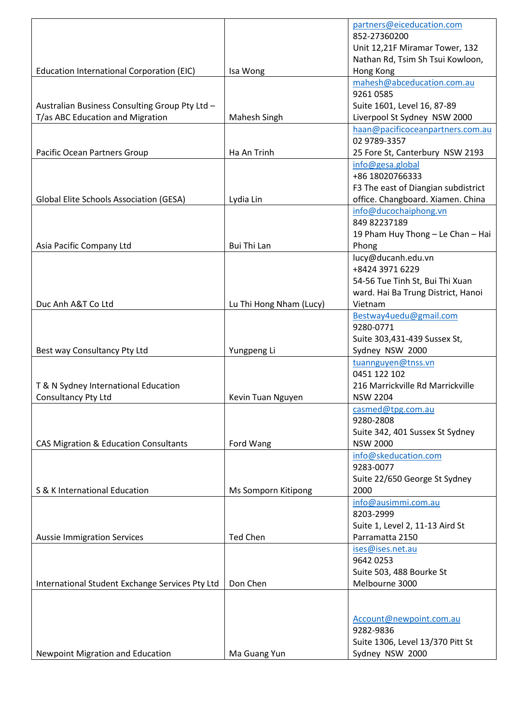|                                                 |                         | partners@eiceducation.com           |
|-------------------------------------------------|-------------------------|-------------------------------------|
|                                                 |                         | 852-27360200                        |
|                                                 |                         | Unit 12,21F Miramar Tower, 132      |
|                                                 |                         | Nathan Rd, Tsim Sh Tsui Kowloon,    |
| Education International Corporation (EIC)       | Isa Wong                | Hong Kong                           |
|                                                 |                         | mahesh@abceducation.com.au          |
|                                                 |                         | 92610585                            |
| Australian Business Consulting Group Pty Ltd -  |                         | Suite 1601, Level 16, 87-89         |
| T/as ABC Education and Migration                | Mahesh Singh            | Liverpool St Sydney NSW 2000        |
|                                                 |                         | haan@pacificoceanpartners.com.au    |
|                                                 |                         | 02 9789-3357                        |
| Pacific Ocean Partners Group                    | Ha An Trinh             | 25 Fore St, Canterbury NSW 2193     |
|                                                 |                         | info@gesa.global                    |
|                                                 |                         | +86 18020766333                     |
|                                                 |                         | F3 The east of Diangian subdistrict |
| Global Elite Schools Association (GESA)         | Lydia Lin               | office. Changboard. Xiamen. China   |
|                                                 |                         | info@ducochaiphong.vn               |
|                                                 |                         | 849 82237189                        |
|                                                 |                         | 19 Pham Huy Thong - Le Chan - Hai   |
| Asia Pacific Company Ltd                        | Bui Thi Lan             | Phong                               |
|                                                 |                         | lucy@ducanh.edu.vn                  |
|                                                 |                         | +8424 3971 6229                     |
|                                                 |                         |                                     |
|                                                 |                         | 54-56 Tue Tinh St, Bui Thi Xuan     |
|                                                 |                         | ward. Hai Ba Trung District, Hanoi  |
| Duc Anh A&T Co Ltd                              | Lu Thi Hong Nham (Lucy) | Vietnam                             |
|                                                 |                         | Bestway4uedu@gmail.com              |
|                                                 |                         | 9280-0771                           |
|                                                 |                         | Suite 303,431-439 Sussex St,        |
| Best way Consultancy Pty Ltd                    | Yungpeng Li             | Sydney NSW 2000                     |
|                                                 |                         | tuannguyen@tnss.vn                  |
|                                                 |                         | 0451 122 102                        |
| T & N Sydney International Education            |                         | 216 Marrickville Rd Marrickville    |
| Consultancy Pty Ltd                             | Kevin Tuan Nguyen       | <b>NSW 2204</b>                     |
|                                                 |                         | casmed@tpg.com.au                   |
|                                                 |                         | 9280-2808                           |
|                                                 |                         | Suite 342, 401 Sussex St Sydney     |
| CAS Migration & Education Consultants           | Ford Wang               | <b>NSW 2000</b>                     |
|                                                 |                         | info@skeducation.com                |
|                                                 |                         | 9283-0077                           |
|                                                 |                         | Suite 22/650 George St Sydney       |
| S & K International Education                   | Ms Somporn Kitipong     | 2000                                |
|                                                 |                         | info@ausimmi.com.au                 |
|                                                 |                         | 8203-2999                           |
|                                                 |                         | Suite 1, Level 2, 11-13 Aird St     |
| <b>Aussie Immigration Services</b>              | <b>Ted Chen</b>         | Parramatta 2150                     |
|                                                 |                         | ises@ises.net.au                    |
|                                                 |                         | 9642 0253                           |
|                                                 |                         | Suite 503, 488 Bourke St            |
| International Student Exchange Services Pty Ltd | Don Chen                | Melbourne 3000                      |
|                                                 |                         |                                     |
|                                                 |                         |                                     |
|                                                 |                         | Account@newpoint.com.au             |
|                                                 |                         | 9282-9836                           |
|                                                 |                         | Suite 1306, Level 13/370 Pitt St    |
| Newpoint Migration and Education                | Ma Guang Yun            | Sydney NSW 2000                     |
|                                                 |                         |                                     |